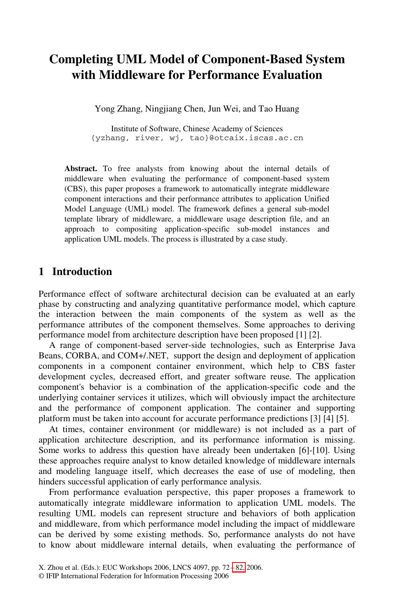# **Completing UML Model of Component-Based System with Middleware for Performance Evaluation**

Yong Zhang, Ningjiang Chen, Jun Wei, and Tao Huang

Institute of Software, Chinese Academy of Sciences {yzhang, river, wj, tao}@otcaix.iscas.ac.cn

**Abstract.** To free analysts from knowing about the internal details of middleware when evaluating the performance of component-based system (CBS), this paper proposes a framework to automatically integrate middleware component interactions and their performance attributes to application Unified Model Language (UML) model. The framework defines a general sub-model template library of middleware, a middleware usage description file, and an approach to compositing application-specific sub-model instances and application UML models. The process is illustrated by a case study.

## **1 Introduction**

Performance effect of software architectural decision can be evaluated at an early phase by constructing and analyzing quantitative performance model, which capture the interaction between the main components of the system as well as the performance attributes of the component themselves. Some approaches to deriving performance model from architecture description have been proposed [1] [2].

A range of component-based server-side technologies, such as Enterprise Java Beans, CORBA, and COM+/.NET, support the design and deployment of application components in a component container environment, which help to CBS faster development cycles, decreased effort, and greater software reuse. The application component's behavior is a combination of the application-specific code and the underlying container services it utilizes, which will obviously impact the architecture and the performance of component application. The container and supporting platform must be taken into account for accurate performance predictions [3] [4] [5].

At times, container environment (or middleware) is not included as a part of application architecture description, and its performance information is missing. Some works to address this question have already been undertaken [6]-[10]. Using these approaches require analyst to know detailed knowledge of middleware internals and modeling language itself, which decreases the ease of use of modeling, then hinders successful application of early performance analysis.

From performance evaluation perspective, this paper proposes a framework to automatically integrate middleware information to application UML models. The resulting UML models can represent structure and behaviors of both application and middleware, from which performance model including the impact of middleware can be derived by some existing methods. So, performance analysts do not have to know about middleware internal details, when evaluating the performance of

© IFIP International Federation for Information Processing 2006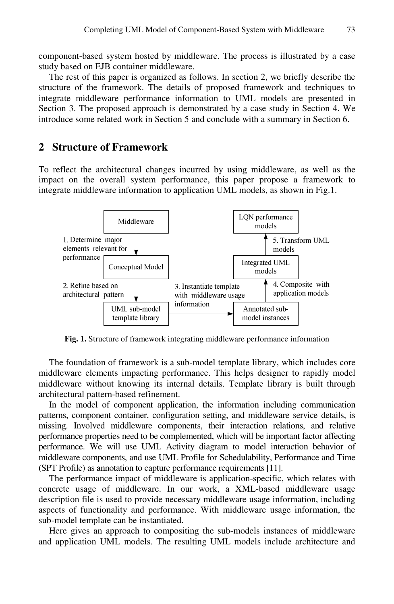component-based system hosted by middleware. The process is illustrated by a case study based on EJB container middleware.

The rest of this paper is organized as follows. In section 2, we briefly describe the structure of the framework. The details of proposed framework and techniques to integrate middleware performance information to UML models are presented in Section 3. The proposed approach is demonstrated by a case study in Section 4. We introduce some related work in Section 5 and conclude with a summary in Section 6.

#### **2 Structure of Framework**

To reflect the architectural changes incurred by using middleware, as well as the impact on the overall system performance, this paper propose a framework to integrate middleware information to application UML models, as shown in Fig.1.



**Fig. 1.** Structure of framework integrating middleware performance information

The foundation of framework is a sub-model template library, which includes core middleware elements impacting performance. This helps designer to rapidly model middleware without knowing its internal details. Template library is built through architectural pattern-based refinement.

In the model of component application, the information including communication patterns, component container, configuration setting, and middleware service details, is missing. Involved middleware components, their interaction relations, and relative performance properties need to be complemented, which will be important factor affecting performance. We will use UML Activity diagram to model interaction behavior of middleware components, and use UML Profile for Schedulability, Performance and Time (SPT Profile) as annotation to capture performance requirements [11].

The performance impact of middleware is application-specific, which relates with concrete usage of middleware. In our work, a XML-based middleware usage description file is used to provide necessary middleware usage information, including aspects of functionality and performance. With middleware usage information, the sub-model template can be instantiated.

Here gives an approach to compositing the sub-models instances of middleware and application UML models. The resulting UML models include architecture and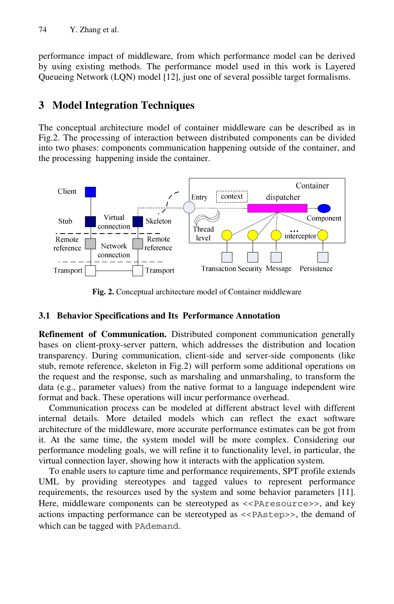performance impact of middleware, from which performance model can be derived by using existing methods. The performance model used in this work is Layered Queueing Network (LQN) model [12], just one of several possible target formalisms.

## **3 Model Integration Techniques**

The conceptual architecture model of container middleware can be described as in Fig.2. The processing of interaction between distributed components can be divided into two phases: components communication happening outside of the container, and the processing happening inside the container.



**Fig. 2.** Conceptual architecture model of Container middleware

### **3.1 Behavior Specifications and Its Performance Annotation**

**Refinement of Communication.** Distributed component communication generally bases on client-proxy-server pattern, which addresses the distribution and location transparency. During communication, client-side and server-side components (like stub, remote reference, skeleton in Fig.2) will perform some additional operations on the request and the response, such as marshaling and unmarshaling, to transform the data (e.g., parameter values) from the native format to a language independent wire format and back. These operations will incur performance overhead.

Communication process can be modeled at different abstract level with different internal details. More detailed models which can reflect the exact software architecture of the middleware, more accurate performance estimates can be got from it. At the same time, the system model will be more complex. Considering our performance modeling goals, we will refine it to functionality level, in particular, the virtual connection layer, showing how it interacts with the application system.

To enable users to capture time and performance requirements, SPT profile extends UML by providing stereotypes and tagged values to represent performance requirements, the resources used by the system and some behavior parameters [11]. Here, middleware components can be stereotyped as <<PAresource>>, and key actions impacting performance can be stereotyped as <<PAstep>>, the demand of which can be tagged with PAdemand.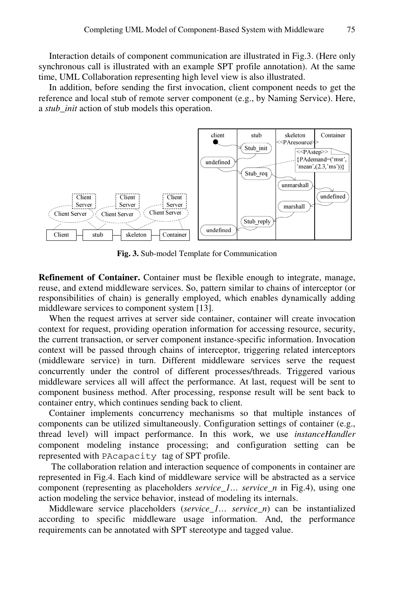Interaction details of component communication are illustrated in Fig.3. (Here only synchronous call is illustrated with an example SPT profile annotation). At the same time, UML Collaboration representing high level view is also illustrated.

In addition, before sending the first invocation, client component needs to get the reference and local stub of remote server component (e.g., by Naming Service). Here, a *stub\_init* action of stub models this operation.



**Fig. 3.** Sub-model Template for Communication

**Refinement of Container.** Container must be flexible enough to integrate, manage, reuse, and extend middleware services. So, pattern similar to chains of interceptor (or responsibilities of chain) is generally employed, which enables dynamically adding middleware services to component system [13].

When the request arrives at server side container, container will create invocation context for request, providing operation information for accessing resource, security, the current transaction, or server component instance-specific information. Invocation context will be passed through chains of interceptor, triggering related interceptors (middleware service) in turn. Different middleware services serve the request concurrently under the control of different processes/threads. Triggered various middleware services all will affect the performance. At last, request will be sent to component business method. After processing, response result will be sent back to container entry, which continues sending back to client.

Container implements concurrency mechanisms so that multiple instances of components can be utilized simultaneously. Configuration settings of container (e.g., thread level) will impact performance. In this work, we use *instanceHandler* component modeling instance processing; and configuration setting can be represented with PAcapacity tag of SPT profile.

 The collaboration relation and interaction sequence of components in container are represented in Fig.4. Each kind of middleware service will be abstracted as a service component (representing as placeholders *service\_1… service\_n* in Fig.4), using one action modeling the service behavior, instead of modeling its internals.

Middleware service placeholders (*service\_1… service\_n*) can be instantialized according to specific middleware usage information. And, the performance requirements can be annotated with SPT stereotype and tagged value.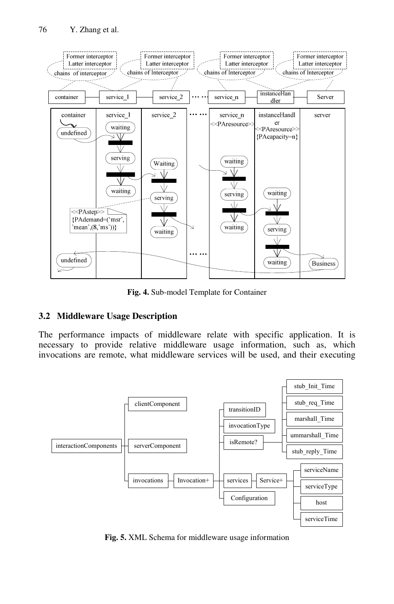

**Fig. 4.** Sub-model Template for Container

### **3.2 Middleware Usage Description**

The performance impacts of middleware relate with specific application. It is necessary to provide relative middleware usage information, such as, which invocations are remote, what middleware services will be used, and their executing



**Fig. 5.** XML Schema for middleware usage information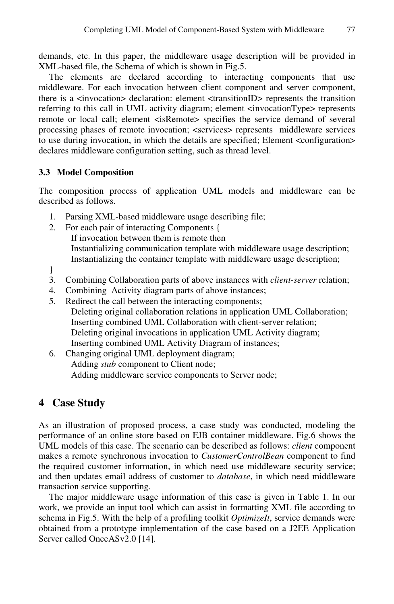demands, etc. In this paper, the middleware usage description will be provided in XML-based file, the Schema of which is shown in Fig.5.

The elements are declared according to interacting components that use middleware. For each invocation between client component and server component, there is a  $\langle$ invocation $\rangle$  declaration: element  $\langle$ transitionID $\rangle$  represents the transition referring to this call in UML activity diagram; element <invocationType> represents remote or local call; element <isRemote> specifies the service demand of several processing phases of remote invocation; <services> represents middleware services to use during invocation, in which the details are specified; Element <configuration> declares middleware configuration setting, such as thread level.

#### **3.3 Model Composition**

The composition process of application UML models and middleware can be described as follows.

- 1. Parsing XML-based middleware usage describing file;
- 2. For each pair of interacting Components { If invocation between them is remote then Instantializing communication template with middleware usage description; Instantializing the container template with middleware usage description;
- }
- 3. Combining Collaboration parts of above instances with *client-server* relation;
- 4. Combining Activity diagram parts of above instances;
- 5. Redirect the call between the interacting components; Deleting original collaboration relations in application UML Collaboration; Inserting combined UML Collaboration with client-server relation; Deleting original invocations in application UML Activity diagram; Inserting combined UML Activity Diagram of instances;
- 6. Changing original UML deployment diagram; Adding *stub* component to Client node; Adding middleware service components to Server node;

## **4 Case Study**

As an illustration of proposed process, a case study was conducted, modeling the performance of an online store based on EJB container middleware. Fig.6 shows the UML models of this case. The scenario can be described as follows: *client* component makes a remote synchronous invocation to *CustomerControlBean* component to find the required customer information, in which need use middleware security service; and then updates email address of customer to *database*, in which need middleware transaction service supporting.

The major middleware usage information of this case is given in Table 1. In our work, we provide an input tool which can assist in formatting XML file according to schema in Fig.5. With the help of a profiling toolkit *OptimizeIt*, service demands were obtained from a prototype implementation of the case based on a J2EE Application Server called OnceASv2.0 [14].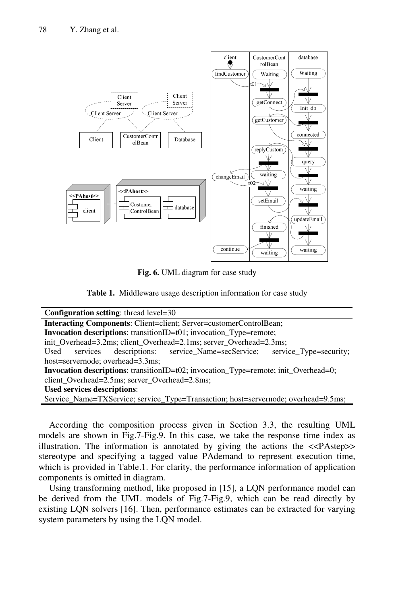

**Fig. 6.** UML diagram for case study

**Table 1.** Middleware usage description information for case study

| <b>Configuration setting:</b> thread level=30                                              |
|--------------------------------------------------------------------------------------------|
| Interacting Components: Client=client; Server=customerControlBean;                         |
| <b>Invocation descriptions:</b> transitionID=t01; invocation_Type=remote;                  |
| init Overhead=3.2ms; client Overhead=2.1ms; server Overhead=2.3ms;                         |
| Used services descriptions: service Name=secService; service Type=security;                |
| host=servernode; overhead=3.3ms;                                                           |
| <b>Invocation descriptions:</b> transitionID=t02; invocation_Type=remote; init_Overhead=0; |
| client Overhead=2.5ms; server Overhead=2.8ms;                                              |
| <b>Used services descriptions:</b>                                                         |
| Service_Name=TXService; service_Type=Transaction; host=servernode; overhead=9.5ms;         |

According the composition process given in Section 3.3, the resulting UML models are shown in Fig.7-Fig.9. In this case, we take the response time index as illustration. The information is annotated by giving the actions the <<PAstep>> stereotype and specifying a tagged value PAdemand to represent execution time, which is provided in Table.1. For clarity, the performance information of application components is omitted in diagram.

Using transforming method, like proposed in [15], a LQN performance model can be derived from the UML models of Fig.7-Fig.9, which can be read directly by existing LQN solvers [16]. Then, performance estimates can be extracted for varying system parameters by using the LQN model.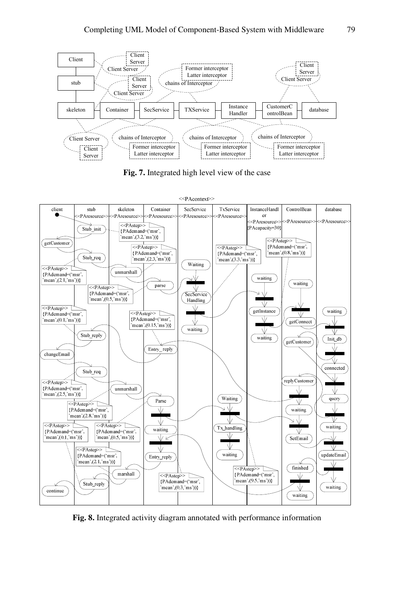

**Fig. 7.** Integrated high level view of the case



**Fig. 8.** Integrated activity diagram annotated with performance information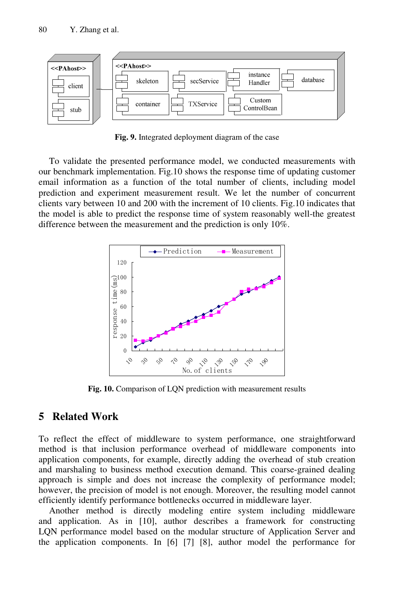

**Fig. 9.** Integrated deployment diagram of the case

To validate the presented performance model, we conducted measurements with our benchmark implementation. Fig.10 shows the response time of updating customer email information as a function of the total number of clients, including model prediction and experiment measurement result. We let the number of concurrent clients vary between 10 and 200 with the increment of 10 clients. Fig.10 indicates that the model is able to predict the response time of system reasonably well-the greatest difference between the measurement and the prediction is only 10%.



**Fig. 10.** Comparison of LQN prediction with measurement results

## **5 Related Work**

To reflect the effect of middleware to system performance, one straightforward method is that inclusion performance overhead of middleware components into application components, for example, directly adding the overhead of stub creation and marshaling to business method execution demand. This coarse-grained dealing approach is simple and does not increase the complexity of performance model; however, the precision of model is not enough. Moreover, the resulting model cannot efficiently identify performance bottlenecks occurred in middleware layer.

Another method is directly modeling entire system including middleware and application. As in [10], author describes a framework for constructing LQN performance model based on the modular structure of Application Server and the application components. In [6] [7] [8], author model the performance for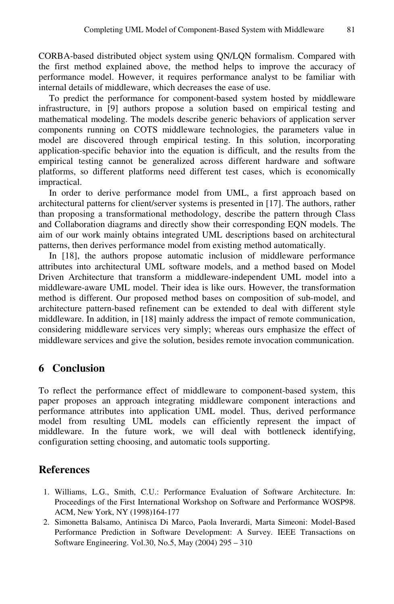CORBA-based distributed object system using QN/LQN formalism. Compared with the first method explained above, the method helps to improve the accuracy of performance model. However, it requires performance analyst to be familiar with internal details of middleware, which decreases the ease of use.

To predict the performance for component-based system hosted by middleware infrastructure, in [9] authors propose a solution based on empirical testing and mathematical modeling. The models describe generic behaviors of application server components running on COTS middleware technologies, the parameters value in model are discovered through empirical testing. In this solution, incorporating application-specific behavior into the equation is difficult, and the results from the empirical testing cannot be generalized across different hardware and software platforms, so different platforms need different test cases, which is economically impractical.

In order to derive performance model from UML, a first approach based on architectural patterns for client/server systems is presented in [17]. The authors, rather than proposing a transformational methodology, describe the pattern through Class and Collaboration diagrams and directly show their corresponding EQN models. The aim of our work mainly obtains integrated UML descriptions based on architectural patterns, then derives performance model from existing method automatically.

In [18], the authors propose automatic inclusion of middleware performance attributes into architectural UML software models, and a method based on Model Driven Architecture that transform a middleware-independent UML model into a middleware-aware UML model. Their idea is like ours. However, the transformation method is different. Our proposed method bases on composition of sub-model, and architecture pattern-based refinement can be extended to deal with different style middleware. In addition, in [18] mainly address the impact of remote communication, considering middleware services very simply; whereas ours emphasize the effect of middleware services and give the solution, besides remote invocation communication.

## **6 Conclusion**

To reflect the performance effect of middleware to component-based system, this paper proposes an approach integrating middleware component interactions and performance attributes into application UML model. Thus, derived performance model from resulting UML models can efficiently represent the impact of middleware. In the future work, we will deal with bottleneck identifying, configuration setting choosing, and automatic tools supporting.

#### **References**

- 1. Williams, L.G., Smith, C.U.: Performance Evaluation of Software Architecture. In: Proceedings of the First International Workshop on Software and Performance WOSP98. ACM, New York, NY (1998)164-177
- 2. Simonetta Balsamo, Antinisca Di Marco, Paola Inverardi, Marta Simeoni: Model-Based Performance Prediction in Software Development: A Survey. IEEE Transactions on Software Engineering. Vol.30, No.5, May (2004) 295 – 310